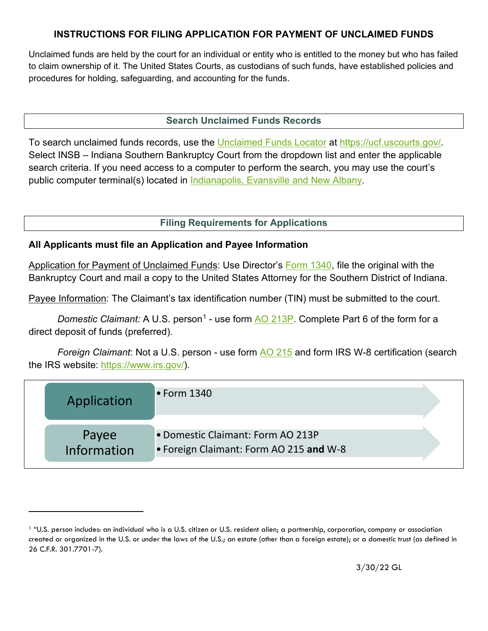### **INSTRUCTIONS FOR FILING APPLICATION FOR PAYMENT OF UNCLAIMED FUNDS**

Unclaimed funds are held by the court for an individual or entity who is entitled to the money but who has failed to claim ownership of it. The United States Courts, as custodians of such funds, have established policies and procedures for holding, safeguarding, and accounting for the funds.

### **Search Unclaimed Funds Records**

To search unclaimed funds records, use the [Unclaimed Funds Locator](https://ucf.uscourts.gov/) at [https://ucf.uscourts.gov/.](https://ucf.uscourts.gov/) Select INSB – Indiana Southern Bankruptcy Court from the dropdown list and enter the applicable search criteria. If you need access to a computer to perform the search, you may use the court's public computer terminal(s) located in [Indianapolis, Evansville and New Albany.](https://www.insb.uscourts.gov/court-info/court-locations)

### **Filing Requirements for Applications**

#### **All Applicants must file an Application and Payee Information**

Application for Payment of Unclaimed Funds: Use Director's [Form 1340,](https://www.insb.uscourts.gov/sites/insb/files/Application-Unclaimed-Funds.pdf) file the original with the Bankruptcy Court and mail a copy to the United States Attorney for the Southern District of Indiana.

Payee Information: The Claimant's tax identification number (TIN) must be submitted to the court.

*Domestic Claimant:* A U.S. person<sup>[1](#page-0-0)</sup> - use form [AO 213P.](https://www.uscourts.gov/forms/other-forms/payee-information-and-tin-certification) Complete Part 6 of the form for a direct deposit of funds (preferred).

*Foreign Claimant*: Not a U.S. person - use form [AO 215](https://www.uscourts.gov/forms/other-forms/request-determine-foreign-vendor-tax-payments) and form IRS W-8 certification (search the IRS website: [https://www.irs.gov/\)](https://www.irs.gov/).

| Application                 | $\bullet$ Form 1340                                                          |  |
|-----------------------------|------------------------------------------------------------------------------|--|
| Payee<br><b>Information</b> | . Domestic Claimant: Form AO 213P<br>. Foreign Claimant: Form AO 215 and W-8 |  |

<span id="page-0-0"></span><sup>1</sup> "U.S. person includes: an individual who is a U.S. citizen or U.S. resident alien; a partnership, corporation, company or association created or organized in the U.S. or under the laws of the U.S.; an estate (other than a foreign estate); or a domestic trust (as defined in 26 C.F.R. 301.7701-7).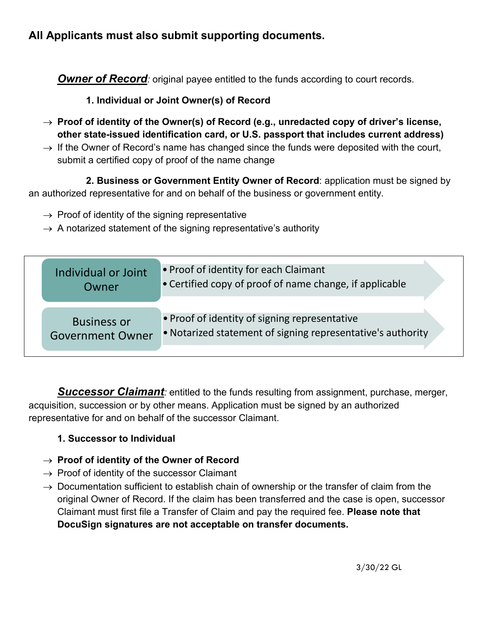# **All Applicants must also submit supporting documents.**

**Owner of Record**: original payee entitled to the funds according to court records.

### **1. Individual or Joint Owner(s) of Record**

- → **Proof of identity of the Owner(s) of Record (e.g., unredacted copy of driver's license, other state-issued identification card, or U.S. passport that includes current address)**
- $\rightarrow$  If the Owner of Record's name has changed since the funds were deposited with the court, submit a certified copy of proof of the name change

**2. Business or Government Entity Owner of Record**: application must be signed by an authorized representative for and on behalf of the business or government entity.

- $\rightarrow$  Proof of identity of the signing representative
- $\rightarrow$  A notarized statement of the signing representative's authority

| Individual or Joint<br>Owner                  | • Proof of identity for each Claimant<br>• Certified copy of proof of name change, if applicable             |  |
|-----------------------------------------------|--------------------------------------------------------------------------------------------------------------|--|
| <b>Business or</b><br><b>Government Owner</b> | • Proof of identity of signing representative<br>. Notarized statement of signing representative's authority |  |

*Successor Claimant*: entitled to the funds resulting from assignment, purchase, merger, acquisition, succession or by other means. Application must be signed by an authorized representative for and on behalf of the successor Claimant.

## **1. Successor to Individual**

### → **Proof of identity of the Owner of Record**

- $\rightarrow$  Proof of identity of the successor Claimant
- $\rightarrow$  Documentation sufficient to establish chain of ownership or the transfer of claim from the original Owner of Record. If the claim has been transferred and the case is open, successor Claimant must first file a Transfer of Claim and pay the required fee. **Please note that DocuSign signatures are not acceptable on transfer documents.**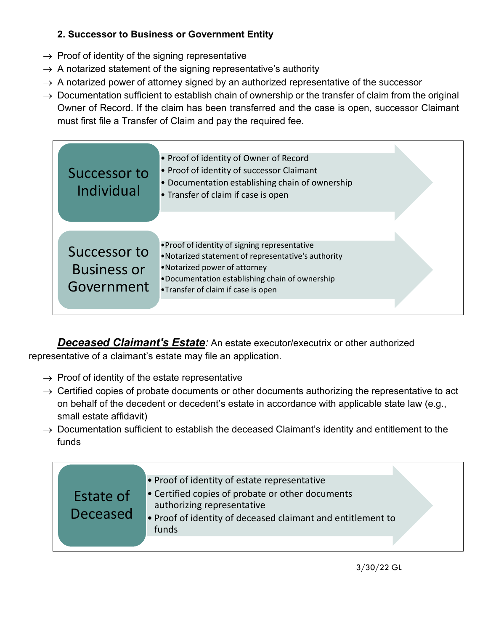# **2. Successor to Business or Government Entity**

- $\rightarrow$  Proof of identity of the signing representative
- $\rightarrow$  A notarized statement of the signing representative's authority
- $\rightarrow$  A notarized power of attorney signed by an authorized representative of the successor
- $\rightarrow$  Documentation sufficient to establish chain of ownership or the transfer of claim from the original Owner of Record. If the claim has been transferred and the case is open, successor Claimant must first file a Transfer of Claim and pay the required fee.

| Successor to<br>Individual                       | • Proof of identity of Owner of Record<br>• Proof of identity of successor Claimant<br>• Documentation establishing chain of ownership<br>• Transfer of claim if case is open                                               |  |
|--------------------------------------------------|-----------------------------------------------------------------------------------------------------------------------------------------------------------------------------------------------------------------------------|--|
| Successor to<br><b>Business or</b><br>Government | . Proof of identity of signing representative<br>•Notarized statement of representative's authority<br>•Notarized power of attorney<br>.Documentation establishing chain of ownership<br>•Transfer of claim if case is open |  |

*Deceased Claimant's Estate:* An estate executor/executrix or other authorized representative of a claimant's estate may file an application.

- $\rightarrow$  Proof of identity of the estate representative
- $\rightarrow$  Certified copies of probate documents or other documents authorizing the representative to act on behalf of the decedent or decedent's estate in accordance with applicable state law (e.g., small estate affidavit)
- $\rightarrow$  Documentation sufficient to establish the deceased Claimant's identity and entitlement to the funds

| Estate of<br>Deceased | • Proof of identity of estate representative<br>• Certified copies of probate or other documents<br>authorizing representative<br>. Proof of identity of deceased claimant and entitlement to |
|-----------------------|-----------------------------------------------------------------------------------------------------------------------------------------------------------------------------------------------|
|                       | funds                                                                                                                                                                                         |